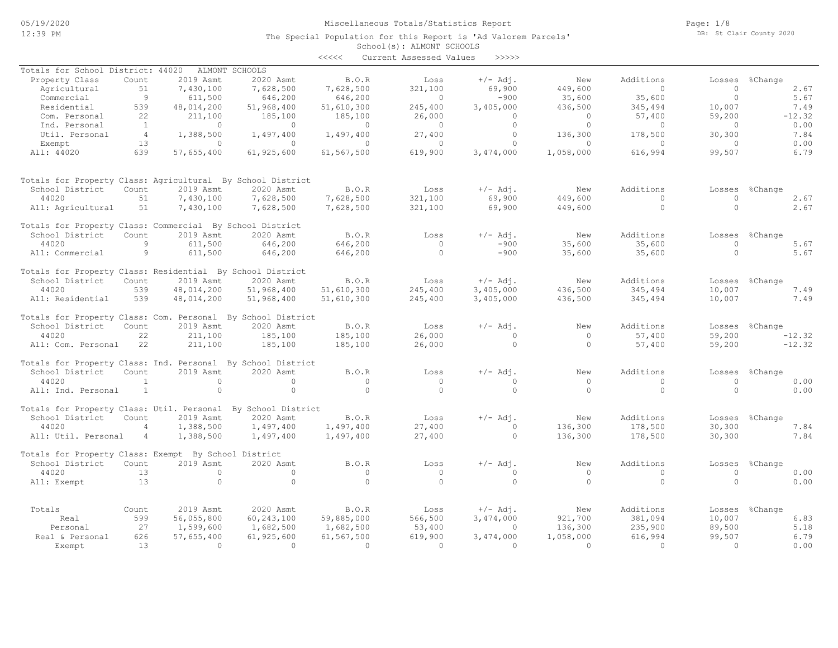School(s): ALMONT SCHOOLS

The Special Population for this Report is 'Ad Valorem Parcels'

Page: 1/8 DB: St Clair County 2020

|                                                              |                |            |                | <<<<       | Current Assessed Values | >>>>>      |           |           |              |                |
|--------------------------------------------------------------|----------------|------------|----------------|------------|-------------------------|------------|-----------|-----------|--------------|----------------|
| Totals for School District: 44020                            |                |            | ALMONT SCHOOLS |            |                         |            |           |           |              |                |
| Property Class                                               | Count          | 2019 Asmt  | 2020 Asmt      | B.O.R      | Loss                    | $+/-$ Adj. | New       | Additions | Losses       | %Change        |
| Agricultural                                                 | 51             | 7,430,100  | 7,628,500      | 7,628,500  | 321,100                 | 69,900     | 449,600   | $\circ$   | $\circ$      | 2.67           |
| Commercial                                                   | 9              | 611,500    | 646,200        | 646,200    | $\Omega$                | $-900$     | 35,600    | 35,600    | $\Omega$     | 5.67           |
| Residential                                                  | 539            | 48,014,200 | 51,968,400     | 51,610,300 | 245,400                 | 3,405,000  | 436,500   | 345,494   | 10,007       | 7.49           |
| Com. Personal                                                | 22             | 211,100    | 185,100        | 185,100    | 26,000                  | $\Omega$   | $\Omega$  | 57,400    | 59,200       | $-12.32$       |
| Ind. Personal                                                | $\overline{1}$ | $\Omega$   | $\circ$        | $\circ$    | $\circ$                 | $\circ$    | $\Omega$  | $\circ$   | $\Omega$     | 0.00           |
| Util. Personal                                               | $\overline{4}$ | 1,388,500  | 1,497,400      | 1,497,400  | 27,400                  | $\circ$    | 136,300   | 178,500   | 30,300       | 7.84           |
| Exempt                                                       | 13             | $\Omega$   | $\Omega$       | $\Omega$   | $\Omega$                | $\Omega$   | $\Omega$  | $\cap$    | $\Omega$     | 0.00           |
| All: 44020                                                   | 639            | 57,655,400 |                | 61,567,500 | 619,900                 | 3,474,000  | 1,058,000 | 616,994   | 99,507       | 6.79           |
|                                                              |                |            | 61,925,600     |            |                         |            |           |           |              |                |
| Totals for Property Class: Agricultural By School District   |                |            |                |            |                         |            |           |           |              |                |
| School District                                              | Count          | 2019 Asmt  | 2020 Asmt      | B.O.R      | Loss                    | $+/-$ Adj. | New       | Additions | Losses       | %Change        |
| 44020                                                        | 51             | 7,430,100  | 7,628,500      | 7,628,500  | 321,100                 | 69,900     | 449,600   | $\Omega$  | $\mathbf{0}$ | 2.67           |
| All: Agricultural                                            | 51             | 7,430,100  | 7,628,500      | 7,628,500  | 321,100                 | 69,900     | 449,600   | $\Omega$  | $\Omega$     | 2.67           |
|                                                              |                |            |                |            |                         |            |           |           |              |                |
| Totals for Property Class: Commercial By School District     |                |            |                |            |                         |            |           |           |              |                |
| School District                                              | Count          | 2019 Asmt  | 2020 Asmt      | B.O.R      | Loss                    | $+/-$ Adj. | New       | Additions |              | Losses %Change |
| 44020                                                        | $\circ$        | 611,500    | 646,200        | 646,200    | $\circ$                 | $-900$     | 35,600    | 35,600    | $\Omega$     | 5.67           |
| All: Commercial                                              | 9              | 611,500    | 646,200        | 646,200    | $\circ$                 | $-900$     | 35,600    | 35,600    | $\circ$      | 5.67           |
| Totals for Property Class: Residential By School District    |                |            |                |            |                         |            |           |           |              |                |
| School District                                              | Count          | 2019 Asmt  | 2020 Asmt      | B.O.R      | Loss                    | $+/-$ Adj. | New       | Additions |              | Losses %Change |
| 44020                                                        | 539            | 48,014,200 | 51,968,400     | 51,610,300 | 245,400                 | 3,405,000  | 436,500   | 345,494   | 10,007       | 7.49           |
| All: Residential                                             | 539            | 48,014,200 | 51,968,400     | 51,610,300 | 245,400                 | 3,405,000  | 436,500   | 345,494   | 10,007       | 7.49           |
| Totals for Property Class: Com. Personal By School District  |                |            |                |            |                         |            |           |           |              |                |
| School District                                              | Count          | 2019 Asmt  | 2020 Asmt      | B.O.R      | Loss                    | $+/-$ Adj. | New       | Additions | Losses       | %Change        |
| 44020                                                        | 22             | 211,100    | 185,100        | 185,100    | 26,000                  | $\Omega$   | $\Omega$  | 57,400    | 59,200       | $-12.32$       |
| All: Com. Personal                                           | 22             | 211,100    | 185,100        | 185,100    | 26,000                  | $\circ$    | $\circ$   | 57,400    | 59,200       | $-12.32$       |
| Totals for Property Class: Ind. Personal By School District  |                |            |                |            |                         |            |           |           |              |                |
| School District                                              | Count          | 2019 Asmt  | 2020 Asmt      | B.O.R      | Loss                    | $+/-$ Adj. | New       | Additions | Losses       | %Change        |
| 44020                                                        | $\mathbf{1}$   | $\circ$    | $\circ$        | $\circ$    | $\circ$                 | $\circ$    | $\circ$   | $\circ$   | $\circ$      | 0.00           |
| All: Ind. Personal                                           | 1              | $\circ$    | $\circ$        | $\Omega$   | $\Omega$                | $\circ$    | $\circ$   | $\circ$   | $\Omega$     | 0.00           |
| Totals for Property Class: Util. Personal By School District |                |            |                |            |                         |            |           |           |              |                |
| School District                                              | Count          | 2019 Asmt  | 2020 Asmt      | B.O.R      | Loss                    | $+/-$ Adj. | New       | Additions | Losses       | %Change        |
| 44020                                                        | $\overline{4}$ | 1,388,500  | 1,497,400      | 1,497,400  | 27,400                  | $\Omega$   | 136,300   | 178,500   | 30,300       | 7.84           |
|                                                              | 4              |            |                |            | 27,400                  | $\circ$    | 136,300   | 178,500   | 30,300       | 7.84           |
| All: Util. Personal                                          |                | 1,388,500  | 1,497,400      | 1,497,400  |                         |            |           |           |              |                |
| Totals for Property Class: Exempt By School District         |                |            |                |            |                         |            |           |           |              |                |
| School District                                              | Count          | 2019 Asmt  | 2020 Asmt      | B.O.R      | Loss                    | $+/-$ Adj. | New       | Additions | Losses       | %Change        |
| 44020                                                        | 13             | $\Omega$   | $\Omega$       | $\Omega$   | $\Omega$                | $\Omega$   | $\Omega$  | $\Omega$  | $\Omega$     | 0.00           |
| All: Exempt                                                  | 13             | $\Omega$   | $\Omega$       | $\Omega$   | $\Omega$                | $\Omega$   | $\Omega$  | $\Omega$  | $\Omega$     | 0.00           |
|                                                              |                |            |                |            |                         |            |           |           |              |                |
| Totals                                                       | Count          | 2019 Asmt  | 2020 Asmt      | B.O.R      | Loss                    | $+/-$ Adj. | New       | Additions | Losses       | %Change        |
| Real                                                         | 599            | 56,055,800 | 60,243,100     | 59,885,000 | 566,500                 | 3,474,000  | 921,700   | 381,094   | 10,007       | 6.83           |
| Personal                                                     | 27             | 1,599,600  | 1,682,500      | 1,682,500  | 53,400                  | $\Omega$   | 136,300   | 235,900   | 89,500       | 5.18           |
| Real & Personal                                              | 626            | 57,655,400 | 61,925,600     | 61,567,500 | 619,900                 | 3,474,000  | 1,058,000 | 616,994   | 99,507       | 6.79           |
| Exempt                                                       | 13             | $\Omega$   | $\Omega$       | $\Omega$   | $\Omega$                | $\Omega$   | $\Omega$  | $\Omega$  | $\Omega$     | 0.00           |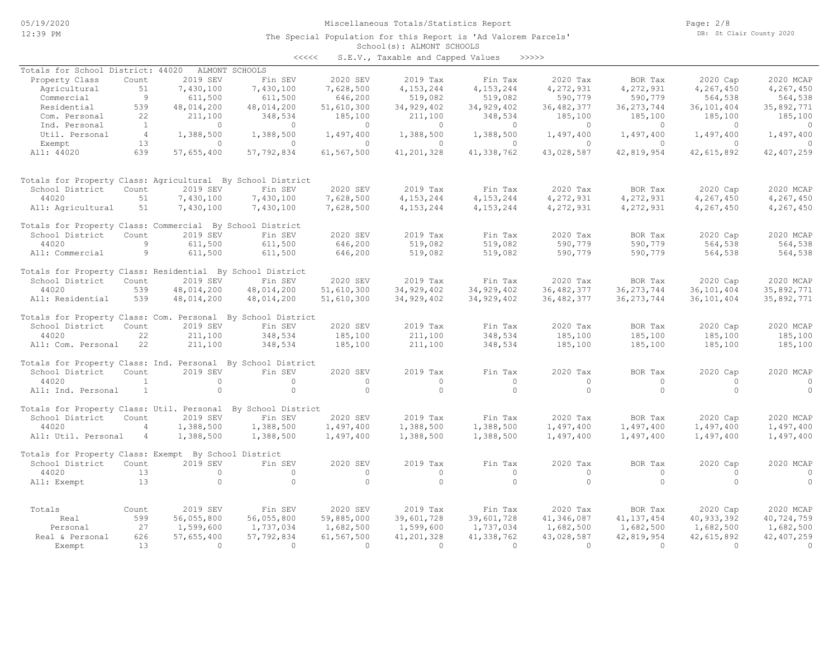Page: 2/8 DB: St Clair County 2020

#### School(s): ALMONT SCHOOLS The Special Population for this Report is 'Ad Valorem Parcels'

<<<<< S.E.V., Taxable and Capped Values >>>>>

| Totals for School District: 44020                           |                |            | ALMONT SCHOOLS     |            |             |              |              |              |              |              |
|-------------------------------------------------------------|----------------|------------|--------------------|------------|-------------|--------------|--------------|--------------|--------------|--------------|
| Property Class                                              | Count          | 2019 SEV   | Fin SEV            | 2020 SEV   | 2019 Tax    | Fin Tax      | 2020 Tax     | BOR Tax      | 2020 Cap     | 2020 MCAP    |
| Agricultural                                                | 51             | 7,430,100  | 7,430,100          | 7,628,500  | 4, 153, 244 | 4,153,244    | 4,272,931    | 4,272,931    | 4,267,450    | 4,267,450    |
| Commercial                                                  | $\overline{9}$ | 611,500    | 611,500            | 646,200    | 519,082     | 519,082      | 590,779      | 590,779      | 564,538      | 564,538      |
| Residential                                                 | 539            | 48,014,200 | 48,014,200         | 51,610,300 | 34,929,402  | 34,929,402   | 36, 482, 377 | 36, 273, 744 | 36, 101, 404 | 35,892,771   |
| Com. Personal                                               | 22             | 211,100    | 348,534            | 185,100    | 211,100     | 348,534      | 185,100      | 185,100      | 185,100      | 185,100      |
| Ind. Personal                                               | <sup>1</sup>   | $\circ$    | $\circ$            | $\circ$    | $\circ$     | $\circ$      | $\circ$      | $\circ$      | $\circ$      | $\circ$      |
| Util. Personal                                              | $\overline{4}$ | 1,388,500  | 1,388,500          | 1,497,400  | 1,388,500   | 1,388,500    | 1,497,400    | 1,497,400    | 1,497,400    | 1,497,400    |
| Exempt                                                      | 13             | $\Omega$   | $\Omega$           | $\Omega$   | $\Omega$    | $\circ$      | $\Omega$     | $\Omega$     | $\Omega$     | $\Omega$     |
|                                                             |                |            |                    |            |             |              |              |              |              |              |
| All: 44020                                                  | 639            | 57,655,400 | 57,792,834         | 61,567,500 | 41,201,328  | 41,338,762   | 43,028,587   | 42,819,954   | 42,615,892   | 42, 407, 259 |
| Totals for Property Class: Agricultural By School District  |                |            |                    |            |             |              |              |              |              |              |
| School District                                             | Count          | 2019 SEV   | Fin SEV            | 2020 SEV   | 2019 Tax    | Fin Tax      | 2020 Tax     | BOR Tax      | 2020 Cap     | 2020 MCAP    |
| 44020                                                       | 51             | 7,430,100  | 7,430,100          | 7,628,500  | 4, 153, 244 | 4, 153, 244  | 4,272,931    | 4,272,931    | 4,267,450    | 4,267,450    |
| All: Agricultural                                           | 51             | 7,430,100  | 7,430,100          | 7,628,500  | 4, 153, 244 | 4, 153, 244  | 4,272,931    | 4,272,931    | 4,267,450    | 4,267,450    |
|                                                             |                |            |                    |            |             |              |              |              |              |              |
| Totals for Property Class: Commercial By School District    |                |            |                    |            |             |              |              |              |              |              |
| School District                                             | Count          | 2019 SEV   | Fin SEV            | 2020 SEV   | 2019 Tax    | Fin Tax      | 2020 Tax     | BOR Tax      | 2020 Cap     | 2020 MCAP    |
| 44020                                                       | $\circ$        | 611,500    | 611,500            | 646,200    | 519,082     | 519,082      | 590,779      | 590,779      | 564,538      | 564,538      |
| All: Commercial                                             | $\overline{9}$ | 611,500    | 611,500            | 646,200    | 519,082     | 519,082      | 590,779      | 590,779      | 564,538      | 564,538      |
| Totals for Property Class: Residential By School District   |                |            |                    |            |             |              |              |              |              |              |
| School District                                             | Count          | 2019 SEV   | Fin SEV            | 2020 SEV   | 2019 Tax    | Fin Tax      | 2020 Tax     | BOR Tax      | 2020 Cap     | 2020 MCAP    |
| 44020                                                       | 539            | 48,014,200 | 48,014,200         | 51,610,300 | 34,929,402  | 34, 929, 402 | 36, 482, 377 | 36, 273, 744 | 36, 101, 404 | 35,892,771   |
| All: Residential                                            | 539            | 48,014,200 | 48,014,200         | 51,610,300 | 34,929,402  | 34,929,402   | 36, 482, 377 | 36, 273, 744 | 36,101,404   | 35,892,771   |
| Totals for Property Class: Com. Personal By School District |                |            |                    |            |             |              |              |              |              |              |
| School District                                             | Count          | 2019 SEV   | Fin SEV            | 2020 SEV   | 2019 Tax    | Fin Tax      | 2020 Tax     | BOR Tax      | 2020 Cap     | 2020 MCAP    |
| 44020                                                       | 22             | 211,100    | 348,534            | 185,100    | 211,100     | 348,534      | 185,100      | 185,100      | 185,100      | 185,100      |
| All: Com. Personal                                          | 22             | 211,100    | 348,534            | 185,100    | 211,100     | 348,534      | 185,100      | 185,100      | 185,100      | 185,100      |
|                                                             |                |            |                    |            |             |              |              |              |              |              |
| Totals for Property Class: Ind. Personal By School District |                |            |                    |            |             |              |              |              |              |              |
| School District                                             | Count          | 2019 SEV   | Fin SEV            | 2020 SEV   | 2019 Tax    | Fin Tax      | 2020 Tax     | BOR Tax      | 2020 Cap     | 2020 MCAP    |
| 44020                                                       | $\mathbf{1}$   | $\circ$    | $\circ$            | $\circ$    | $\circ$     | $\circ$      | $\circ$      | $\circ$      | $\circ$      | $\circ$      |
| All: Ind. Personal                                          | <sup>1</sup>   | $\circ$    | $\circ$            | $\circ$    | $\Omega$    | $\circ$      | $\circ$      | $\circ$      | $\Omega$     | $\circ$      |
| Totals for Property Class: Util. Personal                   |                |            | By School District |            |             |              |              |              |              |              |
| School District                                             | Count          | 2019 SEV   | Fin SEV            | 2020 SEV   | 2019 Tax    | Fin Tax      | 2020 Tax     | BOR Tax      | 2020 Cap     | 2020 MCAP    |
|                                                             |                |            |                    |            |             |              |              |              |              |              |
| 44020                                                       | $\overline{4}$ | 1,388,500  | 1,388,500          | 1,497,400  | 1,388,500   | 1,388,500    | 1,497,400    | 1,497,400    | 1,497,400    | 1,497,400    |
| All: Util. Personal                                         | $\overline{4}$ | 1,388,500  | 1,388,500          | 1,497,400  | 1,388,500   | 1,388,500    | 1,497,400    | 1,497,400    | 1,497,400    | 1,497,400    |
| Totals for Property Class: Exempt By School District        |                |            |                    |            |             |              |              |              |              |              |
| School District                                             | Count          | 2019 SEV   | Fin SEV            | 2020 SEV   | 2019 Tax    | Fin Tax      | 2020 Tax     | BOR Tax      | 2020 Cap     | 2020 MCAP    |
| 44020                                                       | 13             | $\circ$    | $\circ$            | $\circ$    | $\circ$     | $\circ$      | $\circ$      | $\circ$      | $\circ$      | $\circ$      |
| All: Exempt                                                 | 13             | $\circ$    | $\Omega$           | $\circ$    | $\Omega$    | $\Omega$     | $\Omega$     | $\Omega$     | $\Omega$     | $\Omega$     |
|                                                             |                |            |                    |            |             |              |              |              |              |              |
| Totals                                                      | Count          | 2019 SEV   | Fin SEV            | 2020 SEV   | 2019 Tax    | Fin Tax      | 2020 Tax     | BOR Tax      | 2020 Cap     | 2020 MCAP    |
| Real                                                        | 599            | 56,055,800 | 56,055,800         | 59,885,000 | 39,601,728  | 39,601,728   | 41,346,087   | 41, 137, 454 | 40,933,392   | 40,724,759   |
| Personal                                                    | 27             | 1,599,600  | 1,737,034          | 1,682,500  | 1,599,600   | 1,737,034    | 1,682,500    | 1,682,500    | 1,682,500    | 1,682,500    |
| Real & Personal                                             | 626            | 57,655,400 | 57,792,834         | 61,567,500 | 41,201,328  | 41,338,762   | 43,028,587   | 42,819,954   | 42,615,892   | 42, 407, 259 |
| Exempt                                                      | 13             | $\Omega$   | $\Omega$           | $\Omega$   | $\Omega$    | $\Omega$     | $\Omega$     | $\Omega$     | $\cap$       | $\Omega$     |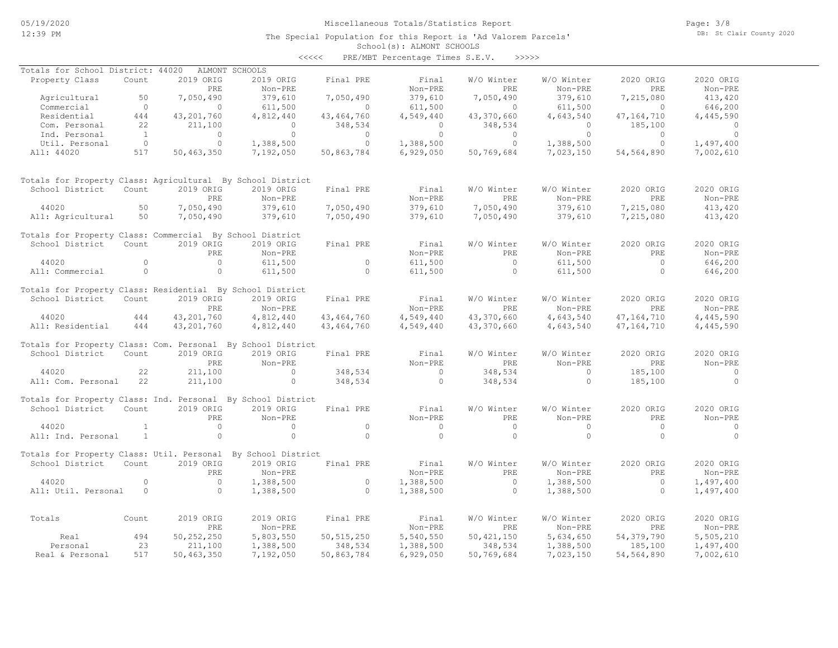The Special Population for this Report is 'Ad Valorem Parcels'

Page: 3/8 DB: St Clair County 2020

### School(s): ALMONT SCHOOLS <<<<< PRE/MBT Percentage Times S.E.V. >>>>>

| Totals for School District: 44020                            |                |                       | ALMONT SCHOOLS         |                         |                        |                       |                        |                       |                        |
|--------------------------------------------------------------|----------------|-----------------------|------------------------|-------------------------|------------------------|-----------------------|------------------------|-----------------------|------------------------|
| Property Class                                               | Count          | 2019 ORIG             | 2019 ORIG              | Final PRE               | Final                  | W/O Winter            | W/O Winter             | 2020 ORIG             | 2020 ORIG              |
|                                                              |                | PRE                   | Non-PRE                |                         | Non-PRE                | PRE                   | Non-PRE                | PRE                   | Non-PRE                |
| Agricultural                                                 | 50             | 7,050,490             | 379,610                | 7,050,490               | 379,610                | 7,050,490             | 379,610                | 7,215,080             | 413,420                |
| Commercial                                                   | $\overline{0}$ | $\circ$               | 611,500                | $\Omega$                | 611,500                | $\Omega$              | 611,500                | $\circ$               | 646,200                |
| Residential                                                  | 444            | 43, 201, 760          | 4,812,440              | 43, 464, 760            | 4,549,440              | 43,370,660            | 4,643,540              | 47, 164, 710          | 4,445,590              |
| Com. Personal                                                | 22             | 211,100               | $\Omega$               | 348,534                 | $\circ$                | 348,534               | $\circ$                | 185,100               | $\circ$                |
| Ind. Personal                                                | $\sim$ 1       | $\circ$               | $\Omega$               | $\Omega$                | $\Omega$               | $\circ$               | $\circ$                | $\Omega$              | $\Omega$               |
| Util. Personal                                               | $\overline{0}$ | $\circ$               | 1,388,500              | $\circ$                 | 1,388,500              | $\circ$               | 1,388,500              | $\circ$               | 1,497,400              |
| All: 44020                                                   | 517            | 50,463,350            | 7,192,050              | 50,863,784              | 6,929,050              | 50,769,684            | 7,023,150              | 54,564,890            | 7,002,610              |
| Totals for Property Class: Agricultural By School District   |                |                       |                        |                         |                        |                       |                        |                       |                        |
| School District                                              | Count          | 2019 ORIG             | 2019 ORIG              | Final PRE               | Final                  | W/O Winter            | W/O Winter             | 2020 ORIG             | 2020 ORIG              |
|                                                              |                | PRE                   | Non-PRE                |                         | Non-PRE                | PRE                   | Non-PRE                | PRE                   | Non-PRE                |
| 44020                                                        | 50             | 7,050,490             | 379,610                | 7,050,490               | 379,610                | 7,050,490             | 379,610                | 7,215,080             | 413,420                |
| All: Agricultural                                            | 50             | 7,050,490             | 379,610                | 7,050,490               | 379,610                | 7,050,490             | 379,610                | 7,215,080             | 413,420                |
| Totals for Property Class: Commercial By School District     |                |                       |                        |                         |                        |                       |                        |                       |                        |
| School District                                              | Count          | 2019 ORIG             | 2019 ORIG              | Final PRE               | Final                  | W/O Winter            | W/O Winter             | 2020 ORIG             | 2020 ORIG              |
|                                                              | $\Omega$       | PRE<br>$\circ$        | Non-PRE                | $\circ$                 | Non-PRE                | PRE<br>$\circ$        | Non-PRE                | PRE<br>$\circ$        | Non-PRE                |
| 44020<br>All: Commercial                                     | $\circ$        | $\circ$               | 611,500                | $\Omega$                | 611,500                | $\circ$               | 611,500                | $\circ$               | 646,200                |
|                                                              |                |                       | 611,500                |                         | 611,500                |                       | 611,500                |                       | 646,200                |
| Totals for Property Class: Residential By School District    |                |                       |                        |                         |                        |                       |                        |                       |                        |
| School District                                              | Count          | 2019 ORIG             | 2019 ORIG              | Final PRE               | Final                  | W/O Winter            | W/O Winter             | 2020 ORIG             | 2020 ORIG              |
|                                                              |                | PRE                   | Non-PRE                |                         | Non-PRE                | <b>PRE</b>            | Non-PRE                | PRE                   | Non-PRE                |
| 44020                                                        | 444            | 43, 201, 760          | 4,812,440              | 43, 464, 760            | 4,549,440              | 43,370,660            | 4,643,540              | 47, 164, 710          | 4,445,590              |
| All: Residential                                             | 444            | 43, 201, 760          | 4,812,440              | 43, 464, 760            | 4,549,440              | 43,370,660            | 4,643,540              | 47, 164, 710          | 4,445,590              |
| Totals for Property Class: Com. Personal By School District  |                |                       |                        |                         |                        |                       |                        |                       |                        |
| School District                                              | Count          | 2019 ORIG             | 2019 ORIG              | Final PRE               | Final                  | W/O Winter            | W/O Winter             | 2020 ORIG             | 2020 ORIG              |
|                                                              |                | PRE                   | Non-PRE                |                         | Non-PRE                | PRE                   | Non-PRE                | PRE                   | Non-PRE                |
| 44020                                                        | 22             | 211,100               | $\Omega$               | 348,534                 | $\Omega$               | 348,534               | $\Omega$               | 185,100               | $\Omega$               |
| All: Com. Personal                                           | 22             | 211,100               | $\circ$                | 348,534                 | $\circ$                | 348,534               | $\circ$                | 185,100               | $\Omega$               |
| Totals for Property Class: Ind. Personal By School District  |                |                       |                        |                         |                        |                       |                        |                       |                        |
| School District                                              | Count          | 2019 ORIG             | 2019 ORIG              | Final PRE               | Final                  | W/O Winter            | W/O Winter             | 2020 ORIG             | 2020 ORIG              |
|                                                              |                | PRE                   | Non-PRE                |                         | Non-PRE                | PRE                   | Non-PRE                | PRE                   | Non-PRE                |
| 44020                                                        | $\mathbf{1}$   | $\Omega$              | $\Omega$               | $\Omega$                | $\Omega$               | $\Omega$              | $\circ$                | $\Omega$              | $\Omega$               |
| All: Ind. Personal                                           | $\mathbf{1}$   | $\circ$               | $\Omega$               | $\Omega$                | $\Omega$               | $\Omega$              | $\Omega$               | $\Omega$              | $\Omega$               |
| Totals for Property Class: Util. Personal By School District |                |                       |                        |                         |                        |                       |                        |                       |                        |
| School District                                              | Count          | 2019 ORIG             | 2019 ORIG              | Final PRE               | Final                  | W/O Winter            | W/O Winter             | 2020 ORIG             | 2020 ORIG              |
|                                                              |                | PRE                   | Non-PRE                |                         | Non-PRE                | PRE                   | Non-PRE                | PRE                   | Non-PRE                |
| 44020                                                        | $\circ$        | $\circ$               | 1,388,500              | $\circ$                 | 1,388,500              | $\circ$               | 1,388,500              | $\circ$               | 1,497,400              |
| All: Util. Personal                                          | $\circ$        | $\circ$               | 1,388,500              | $\circ$                 | 1,388,500              | $\circ$               | 1,388,500              | $\circ$               | 1,497,400              |
|                                                              |                |                       |                        |                         |                        |                       |                        |                       |                        |
| Totals                                                       | Count          | 2019 ORIG             | 2019 ORIG              | Final PRE               | Final                  | W/O Winter            | W/O Winter             | 2020 ORIG             | 2020 ORIG              |
|                                                              |                | PRE                   | Non-PRE                |                         | Non-PRE                | <b>PRE</b>            | Non-PRE                | PRE                   | Non-PRE                |
| Real                                                         | 494<br>23      | 50,252,250            | 5,803,550              | 50, 515, 250<br>348,534 | 5,540,550              | 50, 421, 150          | 5,634,650              | 54,379,790<br>185,100 | 5,505,210              |
| Personal<br>Real & Personal                                  | 517            | 211,100<br>50,463,350 | 1,388,500<br>7,192,050 | 50,863,784              | 1,388,500<br>6,929,050 | 348,534<br>50,769,684 | 1,388,500<br>7,023,150 | 54,564,890            | 1,497,400<br>7,002,610 |
|                                                              |                |                       |                        |                         |                        |                       |                        |                       |                        |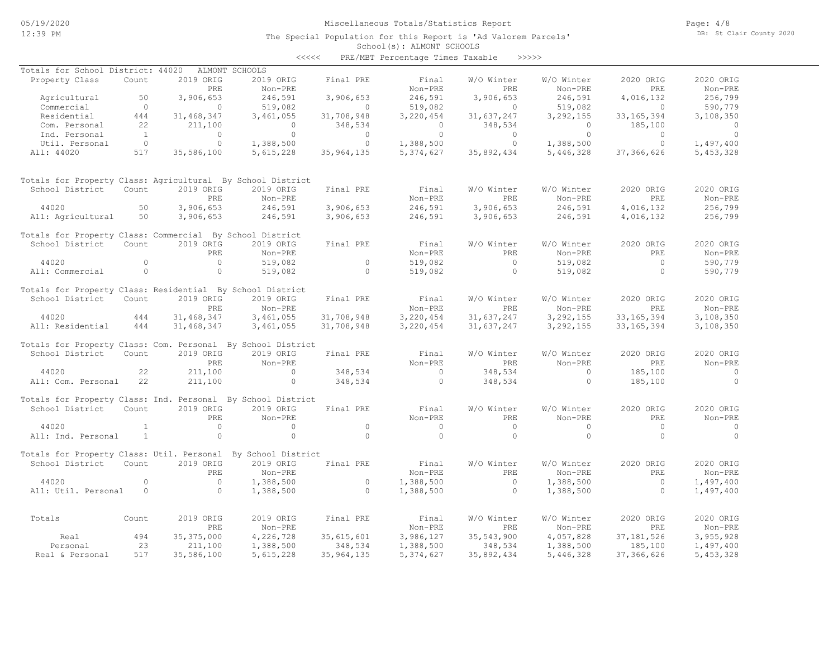The Special Population for this Report is 'Ad Valorem Parcels'

Page: 4/8 DB: St Clair County 2020

#### School(s): ALMONT SCHOOLS <<<<< PRE/MBT Percentage Times Taxable >>>>>

| Totals for School District: 44020                            |                |              | ALMONT SCHOOLS |            |           |                    |            |              |           |
|--------------------------------------------------------------|----------------|--------------|----------------|------------|-----------|--------------------|------------|--------------|-----------|
| Property Class                                               | Count          | 2019 ORIG    | 2019 ORIG      | Final PRE  | Final     | W/O Winter         | W/O Winter | 2020 ORIG    | 2020 ORIG |
|                                                              |                | PRE          | Non-PRE        |            | Non-PRE   | PRE                | Non-PRE    | <b>PRE</b>   | Non-PRE   |
| Agricultural                                                 | 50             | 3,906,653    | 246,591        | 3,906,653  | 246,591   | 3,906,653          | 246,591    | 4,016,132    | 256,799   |
| Commercial                                                   | $\overline{0}$ | $\circ$      | 519,082        | $\circ$    | 519,082   | $\circ$            | 519,082    | $\circ$      | 590,779   |
| Residential                                                  | 444            | 31, 468, 347 | 3,461,055      | 31,708,948 | 3,220,454 | 31,637,247         | 3,292,155  | 33, 165, 394 | 3,108,350 |
| Com. Personal                                                | 22             | 211,100      | $\Omega$       | 348,534    | $\Omega$  | 348,534            | $\circ$    | 185,100      | $\Omega$  |
| Ind. Personal                                                | $\overline{1}$ | $\circ$      | $\circ$        | $\circ$    | $\circ$   | $\circ$            | $\circ$    | $\circ$      | $\circ$   |
| Util. Personal                                               | $\overline{0}$ | $\circ$      | 1,388,500      | $\circ$    | 1,388,500 | $\circ$            | 1,388,500  | $\circ$      | 1,497,400 |
| All: 44020                                                   | 517            | 35,586,100   | 5,615,228      | 35,964,135 | 5,374,627 | 35,892,434         | 5,446,328  | 37, 366, 626 | 5,453,328 |
|                                                              |                |              |                |            |           |                    |            |              |           |
| Totals for Property Class: Agricultural By School District   |                |              |                |            |           |                    |            |              |           |
| School District                                              | Count          | 2019 ORIG    | 2019 ORIG      | Final PRE  | Final     | W/O Winter         | W/O Winter | 2020 ORIG    | 2020 ORIG |
|                                                              |                | PRE          | Non-PRE        |            | Non-PRE   | PRE.               | Non-PRE    | PRE          | Non-PRE   |
| 44020                                                        | 50             | 3,906,653    | 246,591        | 3,906,653  | 246,591   | 3,906,653          | 246,591    | 4,016,132    | 256,799   |
| All: Agricultural                                            | 50             | 3,906,653    | 246,591        | 3,906,653  | 246,591   | 3,906,653          | 246,591    | 4,016,132    | 256,799   |
| Totals for Property Class: Commercial By School District     |                |              |                |            |           |                    |            |              |           |
| School District                                              | Count          | 2019 ORIG    | 2019 ORIG      | Final PRE  | Final     | W/O Winter         | W/O Winter | 2020 ORIG    | 2020 ORIG |
|                                                              |                | PRE          | Non-PRE        |            | Non-PRE   | PRE                | Non-PRE    | PRE          | Non-PRE   |
| 44020                                                        | $\Omega$       | $\Omega$     | 519,082        | $\Omega$   | 519,082   | $\Omega$           | 519,082    | $\Omega$     | 590,779   |
| All: Commercial                                              | $\Omega$       | $\Omega$     | 519,082        | $\Omega$   | 519,082   | $\Omega$           | 519,082    | $\Omega$     | 590,779   |
| Totals for Property Class: Residential By School District    |                |              |                |            |           |                    |            |              |           |
| School District                                              | Count          | 2019 ORIG    | 2019 ORIG      | Final PRE  | Final     | W/O Winter         | W/O Winter | 2020 ORIG    | 2020 ORIG |
|                                                              |                | PRE          | Non-PRE        |            | Non-PRE   | <b>PRE</b>         | Non-PRE    | <b>PRE</b>   | Non-PRE   |
| 44020                                                        | 444            | 31,468,347   | 3,461,055      | 31,708,948 | 3,220,454 | 31,637,247         | 3,292,155  | 33, 165, 394 | 3,108,350 |
| All: Residential                                             | 444            | 31,468,347   | 3,461,055      | 31,708,948 | 3,220,454 | 31,637,247         | 3,292,155  | 33, 165, 394 | 3,108,350 |
| Totals for Property Class: Com. Personal By School District  |                |              |                |            |           |                    |            |              |           |
| School District                                              | Count          | 2019 ORIG    | 2019 ORIG      | Final PRE  | Final     | W/O Winter         | W/O Winter | 2020 ORIG    | 2020 ORIG |
|                                                              |                | PRE          | Non-PRE        |            | Non-PRE   | PRE                | Non-PRE    | PRE          | Non-PRE   |
| 44020                                                        | 22             | 211,100      | $\circ$        | 348,534    | $\circ$   | 348,534            | $\circ$    | 185,100      | $\circ$   |
| All: Com. Personal                                           | 22             | 211,100      | $\circ$        | 348,534    | $\circ$   | 348,534            | $\circ$    | 185,100      | $\circ$   |
| Totals for Property Class: Ind. Personal By School District  |                |              |                |            |           |                    |            |              |           |
| School District                                              | Count          | 2019 ORIG    | 2019 ORIG      | Final PRE  | Final     | W/O Winter         | W/O Winter | 2020 ORIG    | 2020 ORIG |
|                                                              |                | PRE          | Non-PRE        |            | Non-PRE   | PRE                | Non-PRE    | PRE          | Non-PRE   |
| 44020                                                        | $\mathbf{1}$   | $\circ$      | $\circ$        | $\circ$    | $\circ$   | $\circ$            | $\circ$    | $\circ$      | $\circ$   |
| All: Ind. Personal                                           | $\mathbf{1}$   | $\circ$      | $\circ$        | $\Omega$   | $\circ$   | $\circ$            | $\circ$    | $\circ$      | $\circ$   |
| Totals for Property Class: Util. Personal By School District |                |              |                |            |           |                    |            |              |           |
| School District                                              | Count          | 2019 ORIG    | 2019 ORIG      | Final PRE  | Final     | W/O Winter         | W/O Winter | 2020 ORIG    | 2020 ORIG |
|                                                              |                | PRE          | Non-PRE        |            | Non-PRE   | PRE                | Non-PRE    | PRE          | Non-PRE   |
| 44020                                                        | $\circ$        | $\circ$      | 1,388,500      | $\circ$    | 1,388,500 | $\circ$            | 1,388,500  | $\circ$      | 1,497,400 |
| All: Util. Personal                                          | $\circ$        | $\circ$      | 1,388,500      | $\circ$    | 1,388,500 | $\circ$            | 1,388,500  | $\circ$      | 1,497,400 |
|                                                              |                |              |                |            |           |                    |            |              |           |
| Totals                                                       | Count          | 2019 ORIG    | 2019 ORIG      | Final PRE  | Final     | W/O Winter<br>PRF. | W/O Winter | 2020 ORIG    | 2020 ORIG |
|                                                              |                | PRE.         | Non-PRE        |            | Non-PRE   |                    | Non-PRE    | <b>PRE</b>   | Non-PRE   |
| Real                                                         | 494            | 35, 375, 000 | 4,226,728      | 35,615,601 | 3,986,127 | 35,543,900         | 4,057,828  | 37, 181, 526 | 3,955,928 |
| Personal                                                     | 23             | 211,100      | 1,388,500      | 348,534    | 1,388,500 | 348,534            | 1,388,500  | 185,100      | 1,497,400 |
| Real & Personal                                              | 517            | 35,586,100   | 5,615,228      | 35,964,135 | 5,374,627 | 35,892,434         | 5,446,328  | 37,366,626   | 5,453,328 |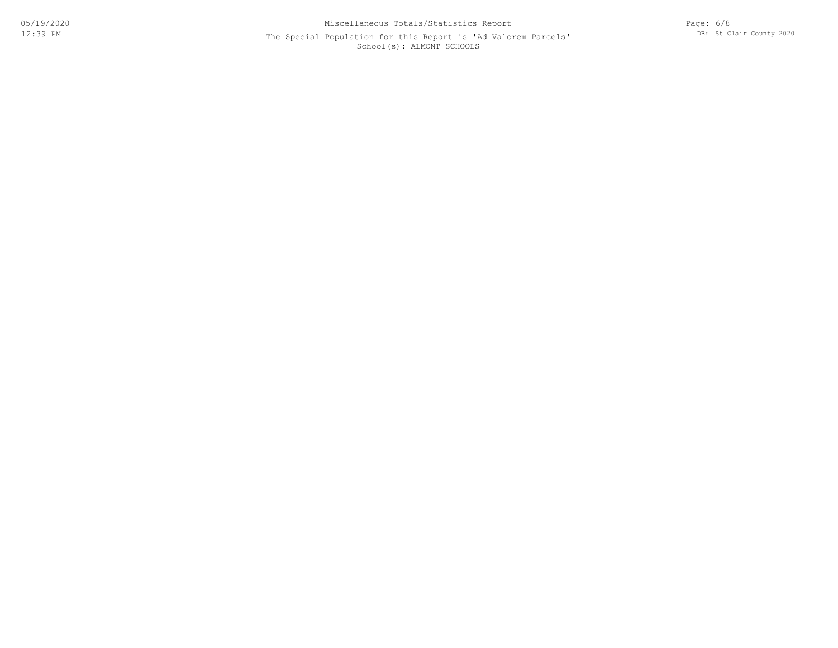School(s): ALMONT SCHOOLS The Special Population for this Report is 'Ad Valorem Parcels'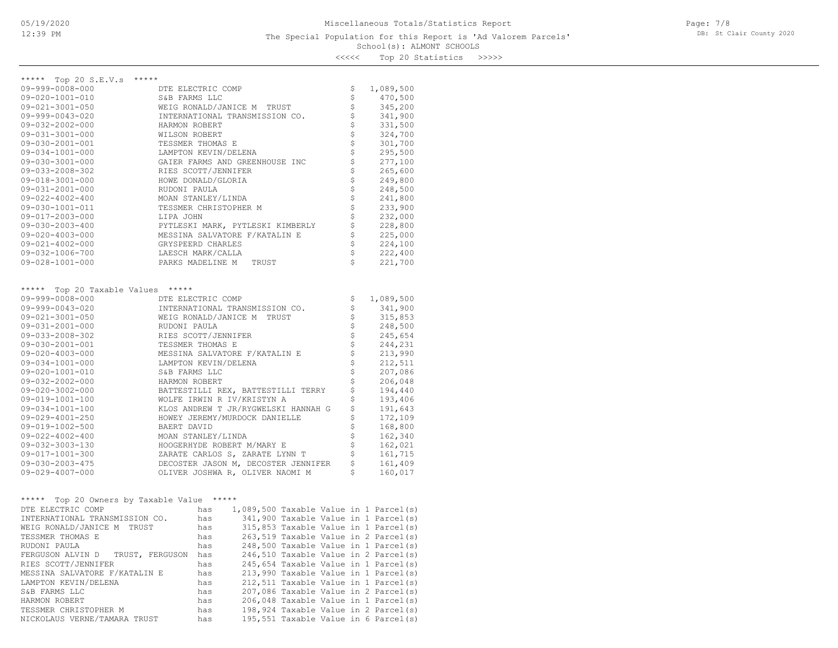## School(s): ALMONT SCHOOLS The Special Population for this Report is 'Ad Valorem Parcels'

Page: 7/8 DB: St Clair County 2020

<<<<< Top 20 Statistics >>>>>

| ***** Top 20 S.E.V.s<br>*****                 |                                                 |            |           |
|-----------------------------------------------|-------------------------------------------------|------------|-----------|
| $09 - 999 - 0008 - 000$                       | DTE ELECTRIC COMP                               | \$         | 1,089,500 |
| $09 - 020 - 1001 - 010$                       | S&B FARMS LLC                                   | \$         | 470,500   |
| $09 - 021 - 3001 - 050$                       | WEIG RONALD/JANICE M TRUST                      | \$         | 345,200   |
| 09-999-0043-020                               | INTERNATIONAL TRANSMISSION CO.                  | \$         | 341,900   |
| 09-032-2002-000                               | HARMON ROBERT                                   | \$         | 331,500   |
| $09 - 031 - 3001 - 000$                       | WILSON ROBERT                                   |            | 324,700   |
| $09 - 030 - 2001 - 001$                       | TESSMER THOMAS E                                | \$         | 301,700   |
| $09 - 034 - 1001 - 000$                       | LAMPTON KEVIN/DELENA                            | \$         | 295,500   |
| $09 - 030 - 3001 - 000$                       | GAIER FARMS AND GREENHOUSE INC                  | \$         | 277,100   |
| 09-033-2008-302                               | RIES SCOTT/JENNIFER                             | \$         | 265,600   |
| $09 - 018 - 3001 - 000$                       | HOWE DONALD/GLORIA                              | \$         | 249,800   |
| 09-031-2001-000                               | RUDONI PAULA                                    |            | 248,500   |
| $09 - 022 - 4002 - 400$                       | MOAN STANLEY/LINDA                              |            | 241,800   |
| 09-030-1001-011                               | TESSMER CHRISTOPHER M                           | \$\$\$\$\$ | 233,900   |
| 09-017-2003-000                               | LIPA JOHN                                       |            | 232,000   |
| 09-030-2003-400                               | PYTLESKI MARK, PYTLESKI KIMBERLY                | \$         | 228,800   |
| 09-020-4003-000                               | MESSINA SALVATORE F/KATALIN E                   | \$         | 225,000   |
| $09 - 021 - 4002 - 000$                       | GRYSPEERD CHARLES                               | \$         | 224,100   |
| 09-032-1006-700                               | LAESCH MARK/CALLA                               | \$         | 222,400   |
| $09 - 028 - 1001 - 000$                       | PARKS MADELINE M<br>TRUST                       | \$         | 221,700   |
|                                               |                                                 |            |           |
|                                               |                                                 |            |           |
| ***** Top 20 Taxable Values *****             |                                                 |            |           |
| $09 - 999 - 0008 - 000$                       | DTE ELECTRIC COMP                               | \$         | 1,089,500 |
| 09-999-0043-020                               | INTERNATIONAL TRANSMISSION CO.                  | \$         | 341,900   |
| 09-021-3001-050                               | WEIG RONALD/JANICE M TRUST                      | \$         | 315,853   |
| 09-031-2001-000                               | RUDONI PAULA                                    | \$         | 248,500   |
| 09-033-2008-302                               | RIES SCOTT/JENNIFER                             | \$         | 245,654   |
| 09-030-2001-001                               | TESSMER THOMAS E                                | \$         | 244,231   |
| $09 - 020 - 4003 - 000$                       | MESSINA SALVATORE F/KATALIN E                   | \$         | 213,990   |
| $09 - 034 - 1001 - 000$                       | LAMPTON KEVIN/DELENA                            | \$         | 212,511   |
| 09-020-1001-010                               | S&B FARMS LLC                                   | \$         | 207,086   |
| 09-032-2002-000                               | HARMON ROBERT                                   | \$         | 206,048   |
| $09 - 020 - 3002 - 000$                       | BATTESTILLI REX, BATTESTILLI TERRY              | \$         | 194,440   |
| 09-019-1001-100                               | WOLFE IRWIN R IV/KRISTYN A                      | \$         | 193,406   |
| 09-034-1001-100                               | KLOS ANDREW T JR/RYGWELSKI HANNAH G             | \$         | 191,643   |
| 09-029-4001-250                               | HOWEY JEREMY/MURDOCK DANIELLE                   | \$         | 172,109   |
| 09-019-1002-500                               | BAERT DAVID                                     |            | 168,800   |
| $09 - 022 - 4002 - 400$                       | MOAN STANLEY/LINDA                              | \$         | 162,340   |
| 09-032-3003-130                               | HOOGERHYDE ROBERT M/MARY E                      | \$         | 162,021   |
| 09-017-1001-300                               | ZARATE CARLOS S, ZARATE LYNN T                  | \$         | 161,715   |
| 09-030-2003-475                               | DECOSTER JASON M, DECOSTER JENNIFER             | \$         | 161,409   |
| 09-029-4007-000                               | OLIVER JOSHWA R, OLIVER NAOMI M                 | \$         | 160,017   |
|                                               |                                                 |            |           |
|                                               |                                                 |            |           |
| Top 20 Owners by Taxable Value *****<br>***** |                                                 |            |           |
| DTE ELECTRIC COMP                             | $1,089,500$ Taxable Value in 1 Parcel(s)<br>has |            |           |
| INTERNATIONAL TRANSMISSION CO.                | 341,900 Taxable Value in 1 Parcel(s)<br>has     |            |           |
| WEIG RONALD/JANICE M<br>TRUST                 | 315,853 Taxable Value in 1 Parcel(s)<br>has     |            |           |
| TESSMER THOMAS E                              | 263,519 Taxable Value in 2 Parcel(s)<br>has     |            |           |
| RUDONI PAULA                                  | 248,500 Taxable Value in 1 Parcel(s)<br>has     |            |           |
| FERGUSON ALVIN D<br>TRUST, FERGUSON           | 246,510 Taxable Value in 2 Parcel(s)<br>has     |            |           |
| RIES SCOTT/JENNIFER                           | 245,654 Taxable Value in 1 Parcel(s)<br>has     |            |           |
|                                               |                                                 |            |           |

NICKS LIGK OF ESSMER CHRISTOPHER M<br>Nas 198,924 Taxable Value in 2 Parcel(s)<br>NICKOLAUS VERNE/TAMARA TRUST has 195,551 Taxable Value in 6 Parcel(s)

HARMON ROBERT has 206,048 Taxable Value in 1 Parcel(s) S&B FARMS LLC has 207,086 Taxable Value in 2 Parcel(s) LAMPTON KEVIN/DELENA has 212,511 Taxable Value in 1 Parcel(s) MESSINA SALVATORE F/KATALIN E has 213,990 Taxable Value in 1 Parcel(s)

has 198,924 Taxable Value in 2 Parcel(s)